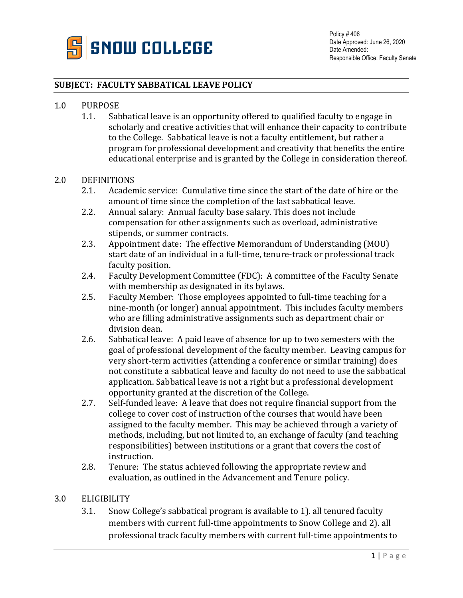

#### **SUBJECT: FACULTY SABBATICAL LEAVE POLICY**

# 1.0 PURPOSE<br>1.1. Sal

Sabbatical leave is an opportunity offered to qualified faculty to engage in scholarly and creative activities that will enhance their capacity to contribute to the College. Sabbatical leave is not a faculty entitlement, but rather a program for professional development and creativity that benefits the entire educational enterprise and is granted by the College in consideration thereof.

# 2.0 DEFINITIONS<br>2.1. Academ

- Academic service: Cumulative time since the start of the date of hire or the amount of time since the completion of the last sabbatical leave.
- 2.2. Annual salary: Annual faculty base salary. This does not include compensation for other assignments such as overload, administrative stipends, or summer contracts.
- 2.3. Appointment date: The effective Memorandum of Understanding (MOU) start date of an individual in a full-time, tenure-track or professional track faculty position.
- 2.4. Faculty Development Committee (FDC): A committee of the Faculty Senate with membership as designated in its bylaws.
- 2.5. Faculty Member: Those employees appointed to full-time teaching for a nine-month (or longer) annual appointment. This includes faculty members who are filling administrative assignments such as department chair or division dean.
- 2.6. Sabbatical leave: A paid leave of absence for up to two semesters with the goal of professional development of the faculty member. Leaving campus for very short-term activities (attending a conference or similar training) does not constitute a sabbatical leave and faculty do not need to use the sabbatical application. Sabbatical leave is not a right but a professional development opportunity granted at the discretion of the College.
- 2.7. Self-funded leave: A leave that does not require financial support from the college to cover cost of instruction of the courses that would have been assigned to the faculty member. This may be achieved through a variety of methods, including, but not limited to, an exchange of faculty (and teaching responsibilities) between institutions or a grant that covers the cost of instruction.
- 2.8. Tenure: The status achieved following the appropriate review and evaluation, as outlined in the Advancement and Tenure policy.

#### 3.0 ELIGIBILITY

3.1. Snow College's sabbatical program is available to 1). all tenured faculty members with current full-time appointments to Snow College and 2). all professional track faculty members with current full-time appointments to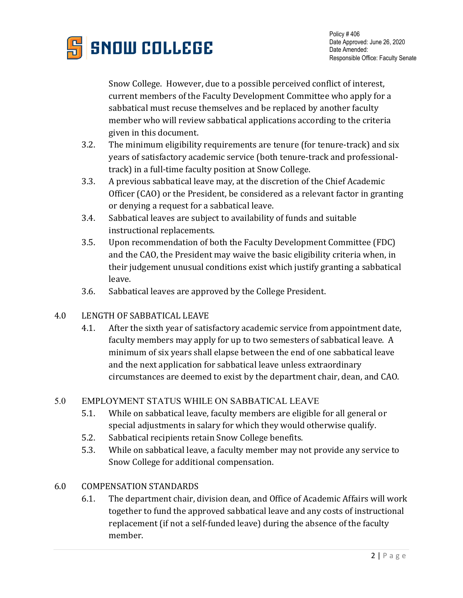

Snow College. However, due to a possible perceived conflict of interest, current members of the Faculty Development Committee who apply for a sabbatical must recuse themselves and be replaced by another faculty member who will review sabbatical applications according to the criteria given in this document.

- 3.2. The minimum eligibility requirements are tenure (for tenure-track) and six years of satisfactory academic service (both tenure-track and professionaltrack) in a full-time faculty position at Snow College.
- 3.3. A previous sabbatical leave may, at the discretion of the Chief Academic Officer (CAO) or the President, be considered as a relevant factor in granting or denying a request for a sabbatical leave.
- 3.4. Sabbatical leaves are subject to availability of funds and suitable instructional replacements.
- 3.5. Upon recommendation of both the Faculty Development Committee (FDC) and the CAO, the President may waive the basic eligibility criteria when, in their judgement unusual conditions exist which justify granting a sabbatical leave.
- 3.6. Sabbatical leaves are approved by the College President.
- 4.0 LENGTH OF SABBATICAL LEAVE
	- 4.1. After the sixth year of satisfactory academic service from appointment date, faculty members may apply for up to two semesters of sabbatical leave. A minimum of six years shall elapse between the end of one sabbatical leave and the next application for sabbatical leave unless extraordinary circumstances are deemed to exist by the department chair, dean, and CAO.

### 5.0 EMPLOYMENT STATUS WHILE ON SABBATICAL LEAVE

- 5.1. While on sabbatical leave, faculty members are eligible for all general or special adjustments in salary for which they would otherwise qualify.
- 5.2. Sabbatical recipients retain Snow College benefits.
- 5.3. While on sabbatical leave, a faculty member may not provide any service to Snow College for additional compensation.

### 6.0 COMPENSATION STANDARDS

6.1. The department chair, division dean, and Office of Academic Affairs will work together to fund the approved sabbatical leave and any costs of instructional replacement (if not a self-funded leave) during the absence of the faculty member.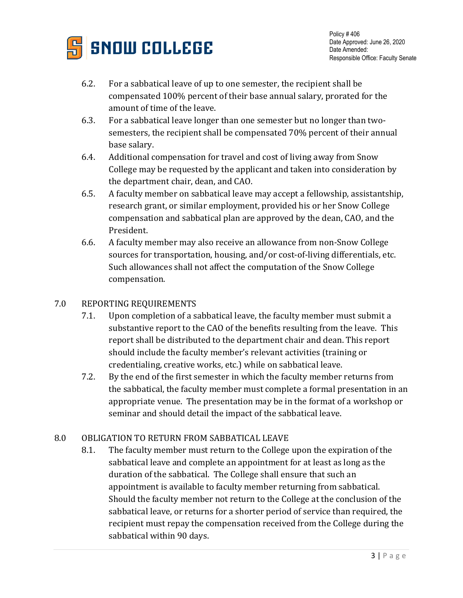

- 6.2. For a sabbatical leave of up to one semester, the recipient shall be compensated 100% percent of their base annual salary, prorated for the amount of time of the leave.
- 6.3. For a sabbatical leave longer than one semester but no longer than twosemesters, the recipient shall be compensated 70% percent of their annual base salary.
- 6.4. Additional compensation for travel and cost of living away from Snow College may be requested by the applicant and taken into consideration by the department chair, dean, and CAO.
- 6.5. A faculty member on sabbatical leave may accept a fellowship, assistantship, research grant, or similar employment, provided his or her Snow College compensation and sabbatical plan are approved by the dean, CAO, and the President.
- 6.6. A faculty member may also receive an allowance from non-Snow College sources for transportation, housing, and/or cost-of-living differentials, etc. Such allowances shall not affect the computation of the Snow College compensation.

### 7.0 REPORTING REQUIREMENTS

- 7.1. Upon completion of a sabbatical leave, the faculty member must submit a substantive report to the CAO of the benefits resulting from the leave. This report shall be distributed to the department chair and dean. This report should include the faculty member's relevant activities (training or credentialing, creative works, etc.) while on sabbatical leave.
- 7.2. By the end of the first semester in which the faculty member returns from the sabbatical, the faculty member must complete a formal presentation in an appropriate venue. The presentation may be in the format of a workshop or seminar and should detail the impact of the sabbatical leave.

## 8.0 OBLIGATION TO RETURN FROM SABBATICAL LEAVE

8.1. The faculty member must return to the College upon the expiration of the sabbatical leave and complete an appointment for at least as long as the duration of the sabbatical. The College shall ensure that such an appointment is available to faculty member returning from sabbatical. Should the faculty member not return to the College at the conclusion of the sabbatical leave, or returns for a shorter period of service than required, the recipient must repay the compensation received from the College during the sabbatical within 90 days.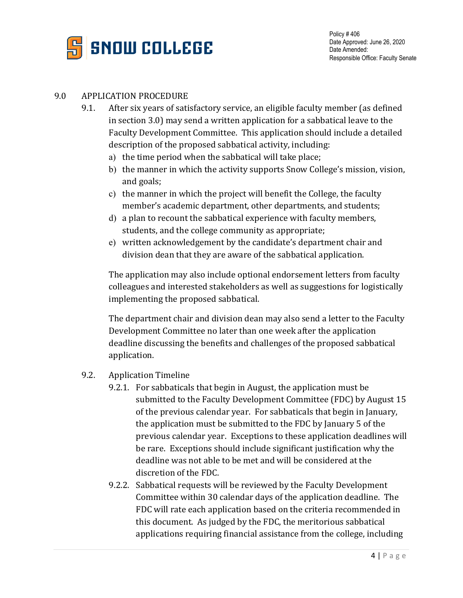

#### 9.0 APPLICATION PROCEDURE

- 9.1. After six years of satisfactory service, an eligible faculty member (as defined in section 3.0) may send a written application for a sabbatical leave to the Faculty Development Committee. This application should include a detailed description of the proposed sabbatical activity, including:
	- a) the time period when the sabbatical will take place;
	- b) the manner in which the activity supports Snow College's mission, vision, and goals;
	- c) the manner in which the project will benefit the College, the faculty member's academic department, other departments, and students;
	- d) a plan to recount the sabbatical experience with faculty members, students, and the college community as appropriate;
	- e) written acknowledgement by the candidate's department chair and division dean that they are aware of the sabbatical application.

The application may also include optional endorsement letters from faculty colleagues and interested stakeholders as well as suggestions for logistically implementing the proposed sabbatical.

The department chair and division dean may also send a letter to the Faculty Development Committee no later than one week after the application deadline discussing the benefits and challenges of the proposed sabbatical application.

- 9.2. Application Timeline
	- 9.2.1. For sabbaticals that begin in August, the application must be submitted to the Faculty Development Committee (FDC) by August 15 of the previous calendar year. For sabbaticals that begin in January, the application must be submitted to the FDC by January 5 of the previous calendar year. Exceptions to these application deadlines will be rare. Exceptions should include significant justification why the deadline was not able to be met and will be considered at the discretion of the FDC.
	- 9.2.2. Sabbatical requests will be reviewed by the Faculty Development Committee within 30 calendar days of the application deadline. The FDC will rate each application based on the criteria recommended in this document. As judged by the FDC, the meritorious sabbatical applications requiring financial assistance from the college, including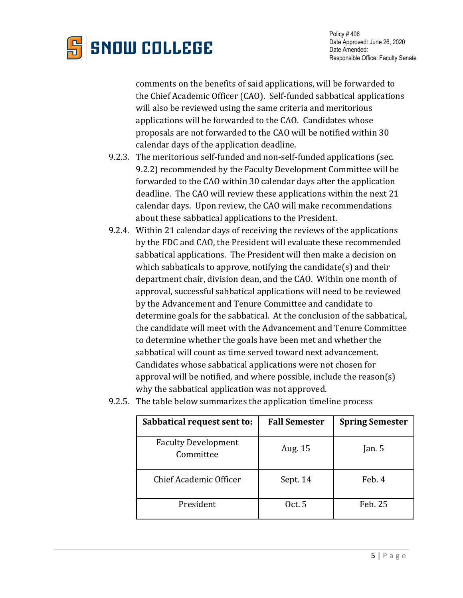

comments on the benefits of said applications, will be forwarded to the Chief Academic Officer (CAO). Self-funded sabbatical applications will also be reviewed using the same criteria and meritorious applications will be forwarded to the CAO. Candidates whose proposals are not forwarded to the CAO will be notified within 30 calendar days of the application deadline.

- 9.2.3. The meritorious self-funded and non-self-funded applications (sec. 9.2.2) recommended by the Faculty Development Committee will be forwarded to the CAO within 30 calendar days after the application deadline. The CAO will review these applications within the next 21 calendar days. Upon review, the CAO will make recommendations about these sabbatical applications to the President.
- 9.2.4. Within 21 calendar days of receiving the reviews of the applications by the FDC and CAO, the President will evaluate these recommended sabbatical applications. The President will then make a decision on which sabbaticals to approve, notifying the candidate(s) and their department chair, division dean, and the CAO. Within one month of approval, successful sabbatical applications will need to be reviewed by the Advancement and Tenure Committee and candidate to determine goals for the sabbatical. At the conclusion of the sabbatical, the candidate will meet with the Advancement and Tenure Committee to determine whether the goals have been met and whether the sabbatical will count as time served toward next advancement. Candidates whose sabbatical applications were not chosen for approval will be notified, and where possible, include the reason(s) why the sabbatical application was not approved.

| Sabbatical request sent to:             | <b>Fall Semester</b> | <b>Spring Semester</b> |
|-----------------------------------------|----------------------|------------------------|
| <b>Faculty Development</b><br>Committee | Aug. 15              | Jan. $5$               |
| Chief Academic Officer                  | Sept. 14             | Feb. 4                 |
| President                               | Oct. 5               | Feb. 25                |

9.2.5. The table below summarizes the application timeline process